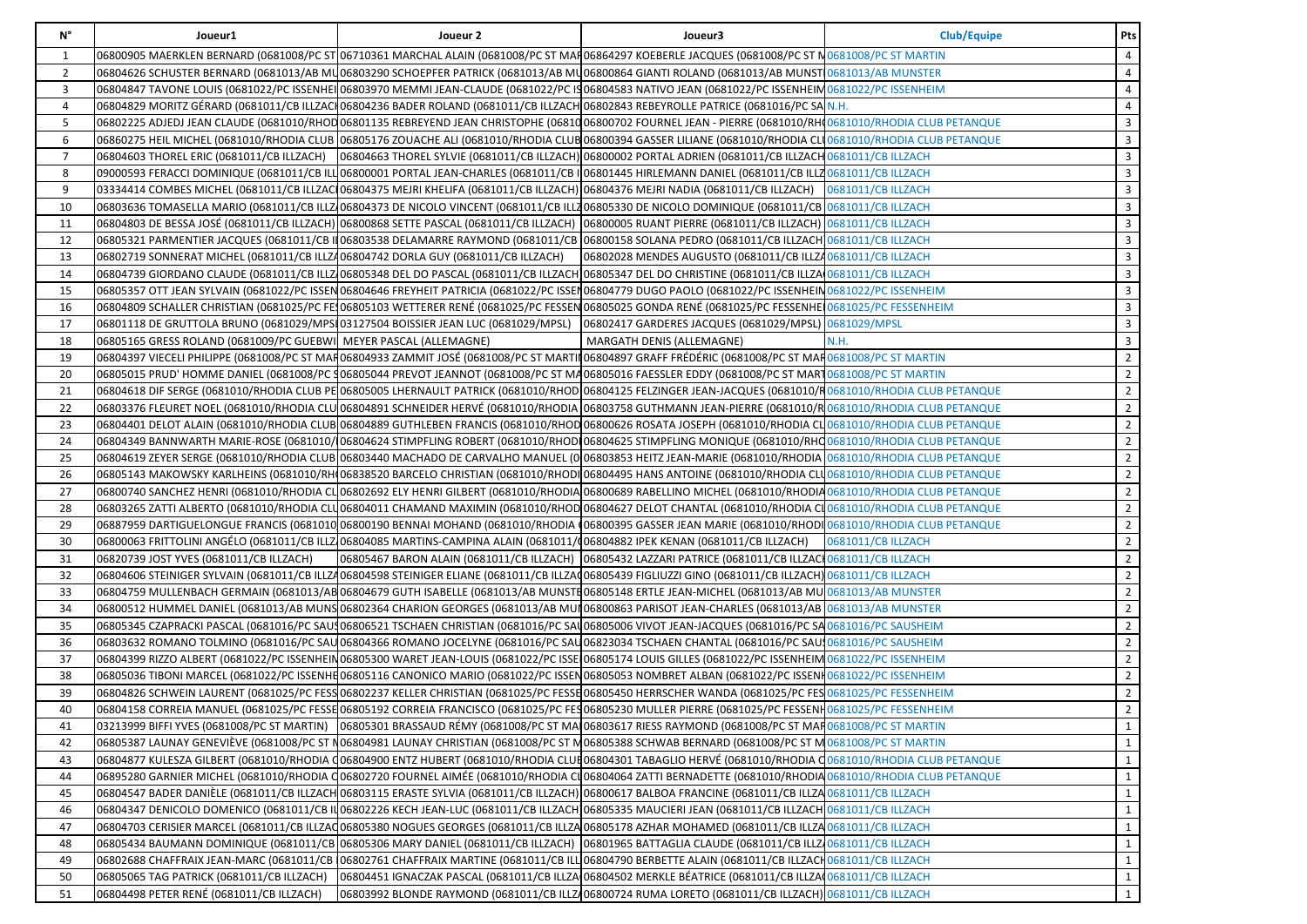| N°             | Joueur1                                                                            | Joueur 2                                                                                                                      | Joueur3                                                                                                                                                                      | <b>Club/Equipe</b> | Pts            |
|----------------|------------------------------------------------------------------------------------|-------------------------------------------------------------------------------------------------------------------------------|------------------------------------------------------------------------------------------------------------------------------------------------------------------------------|--------------------|----------------|
| 1              |                                                                                    |                                                                                                                               | 06800905 MAERKLEN BERNARD (0681008/PC ST 06710361 MARCHAL ALAIN (0681008/PC ST MAR06864297 KOEBERLE JACQUES (0681008/PC ST N0681008/PC ST MARTIN                             |                    | 4              |
| $\overline{2}$ |                                                                                    |                                                                                                                               | 06804626 SCHUSTER BERNARD (0681013/AB MU06803290 SCHOEPFER PATRICK (0681013/AB MU06800864 GIANTI ROLAND (0681013/AB MUNST 0681013/AB MUNST0681013                            |                    | 4              |
| 3              |                                                                                    |                                                                                                                               | 06804847 TAVONE LOUIS (0681022/PC ISSENHEI 06803970 MEMMI JEAN-CLAUDE (0681022/PC IS06804583 NATIVO JEAN (0681022/PC ISSENHEIM0681022/PC ISSENHEIM                           |                    | 4              |
| 4              |                                                                                    |                                                                                                                               | 06804829 MORITZ GÉRARD (0681011/CB ILLZAC 06804236 BADER ROLAND (0681011/CB ILLZACH 06802843 REBEYROLLE PATRICE (0681016/PC SA N.H.                                          |                    | 4              |
| 5              |                                                                                    |                                                                                                                               | 06802225 ADJEDJ JEAN CLAUDE (0681010/RHOD 06801135 REBREYEND JEAN CHRISTOPHE (06810 06800702 FOURNEL JEAN - PIERRE (0681010/RHO 0681010/RHODIA CLUB PETANQUE                 |                    | 3              |
| 6              |                                                                                    |                                                                                                                               | 06860275 HEIL MICHEL (0681010/RHODIA CLUB 06805176 ZOUACHE ALI (0681010/RHODIA CLUB 06800394 GASSER LILIANE (0681010/RHODIA CLU 0681010/RHODIA CLUB PETANQUE                 |                    | 3              |
| $\overline{7}$ | 06804603 THOREL ERIC (0681011/CB ILLZACH)                                          |                                                                                                                               | 06804663 THOREL SYLVIE (0681011/CB ILLZACH) 06800002 PORTAL ADRIEN (0681011/CB ILLZACH 0681011/CB ILLZACH                                                                    |                    | 3              |
| 8              |                                                                                    |                                                                                                                               | 09000593 FERACCI DOMINIQUE (0681011/CB ILLI06800001 PORTAL JEAN-CHARLES (0681011/CB II06801445 HIRLEMANN DANIEL (0681011/CB ILLZ0681011/CB ILLZACH                           |                    | $\overline{3}$ |
| 9              |                                                                                    |                                                                                                                               | 03334414 COMBES MICHEL (0681011/CB ILLZACI06804375 MEJRI KHELIFA (0681011/CB ILLZACH) 06804376 MEJRI NADIA (0681011/CB ILLZACH)   0681011/CB ILLZACH                         |                    | 3              |
| 10             |                                                                                    |                                                                                                                               | 06803636 TOMASELLA MARIO (0681011/CB ILLZ 06804373 DE NICOLO VINCENT (0681011/CB ILLZ06805330 DE NICOLO DOMINIQUE (0681011/CB 0681011/CB ILLZACH                             |                    | 3              |
| 11             |                                                                                    |                                                                                                                               | 06804803 DE BESSA JOSÉ (0681011/СВ ILLZACH) 06800868 SETTE PASCAL (0681011/СВ ILLZACH)  06800005 RUANT PIERRE (0681011/СВ ILLZACH) 0681011/СВ ILLZACH                        |                    | 3              |
| 12             |                                                                                    |                                                                                                                               | 06805321 PARMENTIER JACQUES (0681011/CB II 06803538 DELAMARRE RAYMOND (0681011/CB  06800158 SOLANA PEDRO (0681011/CB ILLZACH 0681011/CB ILLZACH                              |                    | 3              |
| 13             | 06802719 SONNERAT MICHEL (0681011/CB ILLZ406804742 DORLA GUY (0681011/CB ILLZACH)  |                                                                                                                               | 06802028 MENDES AUGUSTO (0681011/CB ILLZ40681011/CB ILLZACH                                                                                                                  |                    | $\overline{3}$ |
| 14             |                                                                                    |                                                                                                                               | 06804739 GIORDANO CLAUDE (0681011/CB ILLZ 06805348 DEL DO PASCAL (0681011/CB ILLZACH 06805347 DEL DO CHRISTINE (0681011/CB ILLZA 0681011/CB ILLZACH                          |                    | 3              |
| 15             |                                                                                    |                                                                                                                               | O6805357 OTT JEAN SYLVAIN (0681022/PC ISSEN 06804646 FREYHEIT PATRICIA (0681022/PC ISSEN 06804779 DUGO PAOLO (0681022/PC ISSENHEIN 0681022/PC ISSENHEIN 0681022/PC ISSENHEIN |                    | 3              |
| 16             |                                                                                    |                                                                                                                               | O6804809 SCHALLER CHRISTIAN (0681025/PC FE106805103 WETTERER RENÉ (0681025/PC FESSENO6805025 GONDA RENÉ (0681025/PC FESSENHE10681025/PC FESSENHEIM                           |                    | 3              |
| 17             | 06801118 DE GRUTTOLA BRUNO (0681029/MPSI 03127504 BOISSIER JEAN LUC (0681029/MPSL) |                                                                                                                               | 06802417 GARDERES JACQUES (0681029/MPSL) 0681029/MPSL                                                                                                                        |                    | 3              |
| 18             | 06805165 GRESS ROLAND (0681009/PC GUEBWI) MEYER PASCAL (ALLEMAGNE)                 |                                                                                                                               | MARGATH DENIS (ALLEMAGNE)                                                                                                                                                    | N.H.               | $\overline{3}$ |
| 19             |                                                                                    |                                                                                                                               | O6804397 VIECELI PHILIPPE (0681008/PC ST MAH06804933 ZAMMIT JOSÉ (0681008/PC ST MARTIN06804897 GRAFF FRÉDÉRIC (0681008/PC ST MAH0681008/PC ST MARTIN                         |                    | $\overline{2}$ |
| 20             |                                                                                    |                                                                                                                               | 06805015 PRUD' HOMME DANIEL (0681008/PC 906805044 PREVOT JEANNOT (0681008/PC ST MA06805016 FAESSLER EDDY (0681008/PC ST MART0681008/PC ST MART1                              |                    | $\overline{2}$ |
| 21             |                                                                                    |                                                                                                                               | 06804618 DIF SERGE (0681010/RHODIA CLUB PE 06805005 LHERNAULT PATRICK (0681010/RHOD 06804125 FELZINGER JEAN-JACQUES (0681010/R 0681010/R 0681010/RHODIA CLUB PETANQUE        |                    | $\overline{2}$ |
| 22             |                                                                                    |                                                                                                                               | 06803376 FLEURET NOEL (0681010/RHODIA CLU 06804891 SCHNEIDER HERVÉ (0681010/RHODIA 06803758 GUTHMANN JEAN-PIERRE (0681010/R 0681010/RHODIA CLUB PETANQUE                     |                    | $\overline{2}$ |
| 23             |                                                                                    |                                                                                                                               | 06804401 DELOT ALAIN (0681010/RHODIA CLUB 06804889 GUTHLEBEN FRANCIS (0681010/RHOD 06800626 ROSATA JOSEPH (0681010/RHODIA CL 0681010/RHODIA CLUB PETANQUE                    |                    | $\overline{2}$ |
| 24             |                                                                                    |                                                                                                                               | 06804349 BANNWARTH MARIE-ROSE (0681010/106804624 STIMPFLING ROBERT (0681010/RHOD106804625 STIMPFLING MONIQUE (0681010/RHQ 0681010/RHQ 0681010/RHODIA CLUB PETANQUE           |                    | $\overline{2}$ |
| 25             |                                                                                    |                                                                                                                               | 06804619 ZEYER SERGE (0681010/RHODIA CLUB 06803440 MACHADO DE CARVALHO MANUEL (0 06803853 HEITZ JEAN-MARIE (0681010/RHODIA 0681010/RHODIA CLUB PETANQUE                      |                    | $\overline{2}$ |
| 26             |                                                                                    |                                                                                                                               | 06805143 MAKOWSKY KARLHEINS (0681010/RH(06838520 BARCELO CHRISTIAN (0681010/RHODI 06804495 HANS ANTOINE (0681010/RHODIA CLU0681010/RHODIA CLUB PETANQUE                      |                    | $\overline{2}$ |
| 27             |                                                                                    |                                                                                                                               | 06800740 SANCHEZ HENRI (0681010/RHODIA CL 06802692 ELY HENRI GILBERT (0681010/RHODIA 06800689 RABELLINO MICHEL (0681010/RHODIA 0681010/RHODIA CLUB PETANQUE                  |                    | $\overline{2}$ |
| 28             |                                                                                    |                                                                                                                               | 06803265 ZATTI ALBERTO (0681010/RHODIA CLU06804011 CHAMAND MAXIMIN (0681010/RHOD06804627 DELOT CHANTAL (0681010/RHODIA CU0681010/RHODIA CLUB PETANQUE                        |                    | $\overline{2}$ |
| 29             |                                                                                    |                                                                                                                               | 06887959 DARTIGUELONGUE FRANCIS (0681010)06800190 BENNAI MOHAND (0681010/RHODIA (06800395 GASSER JEAN MARIE (0681010/RHODI 0681010/RHODIA CLUB PETANQUE                      |                    | $\overline{2}$ |
| 30             |                                                                                    | 06800063 FRITTOLINI ANGÉLO (0681011/CB ILLZ 06804085 MARTINS-CAMPINA ALAIN (0681011/(06804882 IPEK KENAN (0681011/CB ILLZACH) |                                                                                                                                                                              | 0681011/CB ILLZACH | $\overline{2}$ |
| 31             | 06820739 JOST YVES (0681011/CB ILLZACH)                                            |                                                                                                                               | 06805467 BARON ALAIN (0681011/CB ILLZACH)   06805432 LAZZARI PATRICE (0681011/CB ILLZACI 0681011/CB ILLZACH                                                                  |                    | $\overline{2}$ |
| 32             |                                                                                    |                                                                                                                               | O6804606 STEINIGER SYLVAIN (0681011/CB ILLZ406804598 STEINIGER ELIANE (0681011/CB ILLZAQ06805439 FIGLIUZZI GINO (0681011/CB ILLZACH) 0681011/CB ILLZACH                      |                    | $\overline{2}$ |
| 33             |                                                                                    |                                                                                                                               | 06804759 MULLENBACH GERMAIN (0681013/АВ 06804679 GUTH ISABELLE (0681013/АВ MUNSTE 06805148 ERTLE JEAN-MICHEL (0681013/АВ MU 0681013/АВ MUNSTER                               |                    | $\overline{2}$ |
| 34             |                                                                                    |                                                                                                                               | 06800512 HUMMEL DANIEL (0681013/AB MUNS 06802364 CHARION GEORGES (0681013/AB MUN06800863 PARISOT JEAN-CHARLES (0681013/AB  0681013/AB MUNSTER                                |                    | $\overline{2}$ |
| 35             |                                                                                    |                                                                                                                               | 06805345 CZAPRACKI PASCAL (0681016/PC SAU\$06806521 TSCHAEN CHRISTIAN (0681016/PC SAU06805006 VIVOT JEAN-JACQUES (0681016/PC SAU681016/PC SAUSHEIM                           |                    | $\overline{2}$ |
| 36             |                                                                                    |                                                                                                                               | 06803632 ROMANO TOLMINO (0681016/PC SAU 06804366 ROMANO JOCELYNE (0681016/PC SAU 06823034 TSCHAEN CHANTAL (0681016/PC SAU 0681016/PC SAUSHEIM                                |                    | $\overline{2}$ |
| 37             |                                                                                    |                                                                                                                               | 06804399 RIZZO ALBERT (0681022/PC ISSENHEIN06805300 WARET JEAN-LOUIS (0681022/PC ISSEI06805174 LOUIS GILLES (0681022/PC ISSENHEIM 0681022/PC ISSENHEIM                       |                    | $\overline{2}$ |
| 38             |                                                                                    |                                                                                                                               | 06805036 TIBONI MARCEL (0681022/PC ISSENHE06805116 CANONICO MARIO (0681022/PC ISSEN06805053 NOMBRET ALBAN (0681022/PC ISSENH0681022/PC ISSENH0681022/PC ISSENHEIM            |                    | $\overline{2}$ |
| 39             |                                                                                    |                                                                                                                               | 06804826 SCHWEIN LAURENT (0681025/PC FESS 06802237 KELLER CHRISTIAN (0681025/PC FESSE 06805450 HERRSCHER WANDA (0681025/PC FES 0681025/PC FESSENHEIM)                        |                    | $\overline{2}$ |
| 40             |                                                                                    |                                                                                                                               | 06804158 CORREIA MANUEL (0681025/PC FESSE 06805192 CORREIA FRANCISCO (0681025/PC FES 06805230 MULLER PIERRE (0681025/PC FESSENH 0681025/PC FESSENHEIM                        |                    | $\overline{2}$ |
| 41             | 03213999 BIFFI YVES (0681008/PC ST MARTIN)                                         |                                                                                                                               | 06805301 BRASSAUD RÉMY (0681008/PC ST MAI 06803617 RIESS RAYMOND (0681008/PC ST MAI 0681008/PC ST MARTIN                                                                     |                    | 1              |
| 42             |                                                                                    |                                                                                                                               | 06805387 LAUNAY GENEVIÈVE (0681008/PC ST N06804981 LAUNAY CHRISTIAN (0681008/PC ST M06805388 SCHWAB BERNARD (0681008/PC ST M0681008/PC ST MARTIN                             |                    | $\mathbf{1}$   |
| 43             |                                                                                    |                                                                                                                               | 06804877 KULESZA GILBERT (0681010/RHODIA Q06804900 ENTZ HUBERT (0681010/RHODIA CLUE06804301 TABAGLIO HERVÉ (0681010/RHODIA Q0681010/RHODIA CLUB PETANQUE                     |                    | $\mathbf{1}$   |
| 44             |                                                                                    |                                                                                                                               | O6895280 GARNIER MICHEL (0681010/RHODIA Q06802720 FOURNEL AIMÉE (0681010/RHODIA CLO6804064 ZATTI BERNADETTE (0681010/RHODIA 0681010/RHODIA CLUB PETANQUE                     |                    | $\mathbf{1}$   |
| 45             |                                                                                    |                                                                                                                               | 06804547 BADER DANIÈLE (0681011/CB ILLZACH 06803115 ERASTE SYLVIA (0681011/CB ILLZACH) 06800617 BALBOA FRANCINE (0681011/CB ILLZA <sup>0681011</sup> /CB ILLZACH             |                    | $\mathbf{1}$   |
| 46             |                                                                                    |                                                                                                                               | 06804347 DENICOLO DOMENICO (0681011/СВ II 06802226 КЕСН JEAN-LUC (0681011/СВ ILLZACH]06805335 MAUCIERI JEAN (0681011/СВ ILLZACH 0681011/СВ ILLZACH 0681011/СВ ILLZACH        |                    | $\mathbf{1}$   |
| 47             |                                                                                    |                                                                                                                               | 06804703 CERISIER MARCEL (0681011/CB ILLZAQ06805380 NOGUES GEORGES (0681011/CB ILLZA06805178 AZHAR MOHAMED (0681011/CB ILLZA0681011/CB ILLZACH                               |                    | $\mathbf{1}$   |
| 48             | 06805434 BAUMANN DOMINIQUE (0681011/CB 06805306 MARY DANIEL (0681011/CB ILLZACH)   |                                                                                                                               | 06801965 BATTAGLIA CLAUDE (0681011/CB ILLZ 0681011/CB ILLZACH                                                                                                                |                    | $\mathbf{1}$   |
| 49             |                                                                                    |                                                                                                                               | 06802688 CHAFFRAIX JEAN-MARC (0681011/CB  06802761 CHAFFRAIX MARTINE (0681011/CB ILL 06804790 BERBETTE ALAIN (0681011/CB ILLZACH 0681011/CB ILLZACH                          |                    | $\mathbf{1}$   |
| 50             | 06805065 TAG PATRICK (0681011/CB ILLZACH)                                          |                                                                                                                               | 06804451 IGNACZAK PASCAL (0681011/CB ILLZA 06804502 MERKLE BÉATRICE (0681011/CB ILLZA 0681011/CB ILLZACH                                                                     |                    | $\mathbf{1}$   |
| 51             | 06804498 PETER RENÉ (0681011/CB ILLZACH)                                           |                                                                                                                               | 06803992 BLONDE RAYMOND (0681011/CB ILLZ406800724 RUMA LORETO (0681011/CB ILLZACH) 0681011/CB ILLZACH                                                                        |                    | $\mathbf{1}$   |